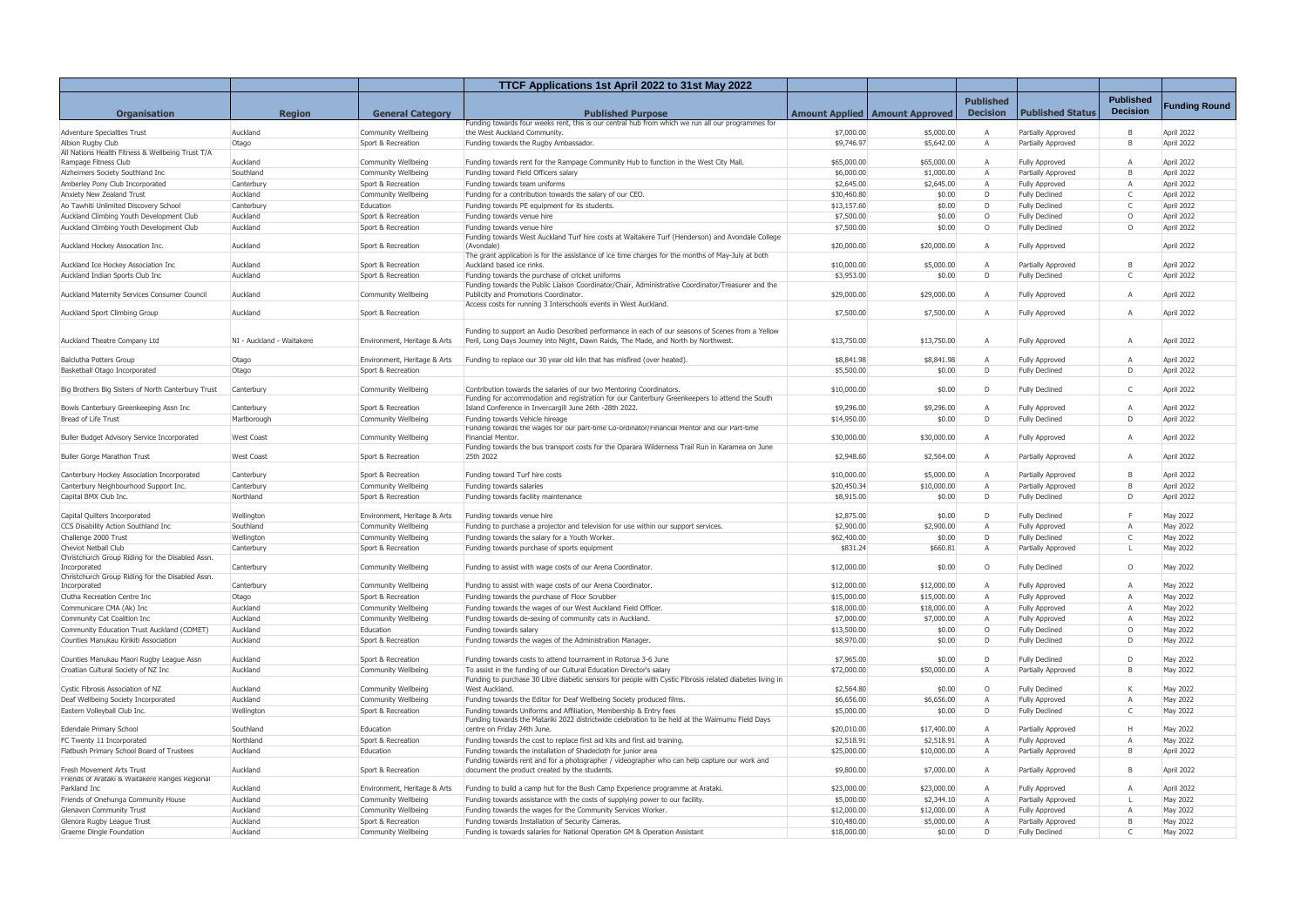|                                                                           |                           |                                            | TTCF Applications 1st April 2022 to 31st May 2022                                                                                                                                      |                           |                                         |                  |                                                |                  |                      |
|---------------------------------------------------------------------------|---------------------------|--------------------------------------------|----------------------------------------------------------------------------------------------------------------------------------------------------------------------------------------|---------------------------|-----------------------------------------|------------------|------------------------------------------------|------------------|----------------------|
|                                                                           |                           |                                            |                                                                                                                                                                                        |                           |                                         | <b>Published</b> |                                                | <b>Published</b> |                      |
| <b>Organisation</b>                                                       | <b>Region</b>             | <b>General Category</b>                    | <b>Published Purpose</b>                                                                                                                                                               |                           | <b>Amount Applied   Amount Approved</b> | <b>Decision</b>  | <b>Published Status</b>                        | <b>Decision</b>  | <b>Funding Round</b> |
|                                                                           |                           |                                            | Funding towards four weeks rent, this is our central hub from which we run all our programmes for                                                                                      |                           |                                         |                  |                                                |                  |                      |
| <b>Adventure Specialties Trust</b>                                        | Auckland                  | Community Wellbeing                        | the West Auckland Community.                                                                                                                                                           | \$7,000.00                | \$5,000.00                              | A                | Partially Approved                             | B                | April 2022           |
| Albion Rugby Club                                                         | Otago                     | Sport & Recreation                         | Funding towards the Rugby Ambassador.                                                                                                                                                  | \$9,746.97                | \$5,642.00                              | Α                | Partially Approved                             | B                | April 2022           |
| All Nations Health Fitness & Wellbeing Trust T/A<br>Rampage Fitness Club  | Auckland                  | Community Wellbeing                        | Funding towards rent for the Rampage Community Hub to function in the West City Mall.                                                                                                  | \$65,000.00               | \$65,000.00                             | A                | <b>Fully Approved</b>                          | $\mathsf{A}$     | April 2022           |
| Alzheimers Society Southland Inc                                          | Southland                 | Community Wellbeing                        | Funding toward Field Officers salary                                                                                                                                                   | \$6,000.00                | \$1,000.00                              | A                | Partially Approved                             | $\overline{B}$   | April 2022           |
| Amberley Pony Club Incorporated                                           | Canterbury                | Sport & Recreation                         | Funding towards team uniforms                                                                                                                                                          | \$2,645.00                | \$2,645.00                              | A                | <b>Fully Approved</b>                          | $\overline{A}$   | April 2022           |
| <b>Anxiety New Zealand Trust</b>                                          | Auckland                  | Community Wellbeing                        | Funding for a contribution towards the salary of our CEO.                                                                                                                              | \$30,460.80               | \$0.00                                  | D                | <b>Fully Declined</b>                          | C                | April 2022           |
| Ao Tawhiti Unlimited Discovery School                                     | Canterbury                | Education                                  | Funding towards PE equipment for its students.                                                                                                                                         | \$13,157.60               | \$0.00                                  | D                | <b>Fully Declined</b>                          | $\mathsf{C}$     | April 2022           |
| Auckland Climbing Youth Development Club                                  | Auckland                  | Sport & Recreation                         | Funding towards venue hire                                                                                                                                                             | \$7,500.00                | \$0.00                                  | $\circ$          | <b>Fully Declined</b>                          | $\circ$          | April 2022           |
| Auckland Climbing Youth Development Club                                  | Auckland                  | Sport & Recreation                         | Funding towards venue hire                                                                                                                                                             | \$7,500.00                | \$0.00                                  | $\circ$          | <b>Fully Declined</b>                          | $\circ$          | April 2022           |
| Auckland Hockey Assocation Inc.                                           | Auckland                  | Sport & Recreation                         | Funding towards West Auckland Turf hire costs at Waitakere Turf (Henderson) and Avondale College<br>(Avondale)                                                                         | \$20,000.00               | \$20,000.00                             | A                | <b>Fully Approved</b>                          |                  | April 2022           |
| Auckland Ice Hockey Association Inc                                       | Auckland                  | Sport & Recreation                         | The grant application is for the assistance of ice time charges for the months of May-July at both<br>Auckland based ice rinks.                                                        | \$10,000.00               | \$5,000.00                              | A                | Partially Approved                             | B                | April 2022           |
| Auckland Indian Sports Club Inc                                           | Auckland                  | Sport & Recreation                         | Funding towards the purchase of cricket uniforms                                                                                                                                       | \$3,953.00                | \$0.00                                  | D                | <b>Fully Declined</b>                          | $\mathsf{C}$     | April 2022           |
|                                                                           |                           |                                            | Funding towards the Public Liaison Coordinator/Chair, Administrative Coordinator/Treasurer and the                                                                                     |                           |                                         |                  |                                                |                  |                      |
| Auckland Maternity Services Consumer Council                              | Auckland                  | Community Wellbeing                        | Publicity and Promotions Coordinator.                                                                                                                                                  | \$29,000.00               | \$29,000.00                             | A                | <b>Fully Approved</b>                          | $\overline{A}$   | April 2022           |
| Auckland Sport Climbing Group                                             | Auckland                  | Sport & Recreation                         | Access costs for running 3 Interschools events in West Auckland.                                                                                                                       | \$7,500.00                | \$7,500.00                              | A                | <b>Fully Approved</b>                          | $\overline{A}$   | April 2022           |
|                                                                           |                           |                                            |                                                                                                                                                                                        |                           |                                         |                  |                                                |                  |                      |
| Auckland Theatre Company Ltd                                              | NI - Auckland - Waitakere | Environment, Heritage & Arts               | Funding to support an Audio Described performance in each of our seasons of Scenes from a Yellow<br>Peril, Long Days Journey into Night, Dawn Raids, The Made, and North by Northwest. | \$13,750.00               | \$13,750.00                             | A                | <b>Fully Approved</b>                          | A                | April 2022           |
|                                                                           |                           |                                            |                                                                                                                                                                                        |                           |                                         |                  |                                                |                  |                      |
| <b>Balclutha Potters Group</b>                                            | Otago                     | Environment, Heritage & Arts               | Funding to replace our 30 year old kiln that has misfired (over heated).                                                                                                               | \$8,841.98                | \$8,841.98                              | A                | <b>Fully Approved</b>                          | A                | April 2022           |
| Basketball Otago Incorporated                                             | Otago                     | Sport & Recreation                         |                                                                                                                                                                                        | \$5,500.00                | \$0.00                                  | D                | <b>Fully Declined</b>                          | D                | April 2022           |
| Big Brothers Big Sisters of North Canterbury Trust                        | Canterbury                | Community Wellbeing                        | Contribution towards the salaries of our two Mentoring Coordinators.                                                                                                                   | \$10,000.00               | \$0.00                                  | D                | <b>Fully Declined</b>                          | $\mathsf{C}$     | April 2022           |
|                                                                           |                           |                                            | Funding for accommodation and registration for our Canterbury Greenkeepers to attend the South                                                                                         |                           |                                         |                  |                                                |                  |                      |
| Bowls Canterbury Greenkeeping Assn Inc                                    | Canterbury                | Sport & Recreation                         | Island Conference in Invercargill June 26th -28th 2022.                                                                                                                                | \$9,296.00                | \$9,296.00                              |                  | <b>Fully Approved</b>                          | $\overline{A}$   | April 2022           |
| <b>Bread of Life Trust</b>                                                | Marlborough               | Community Wellbeing                        | Funding towards Vehicle hireage                                                                                                                                                        | \$14,950.00               | \$0.00                                  | D                | <b>Fully Declined</b>                          | D                | April 2022           |
| Buller Budget Advisory Service Incorporated                               | <b>West Coast</b>         | <b>Community Wellbeing</b>                 | Funding towards the wages for our part-time Co-ordinator/Financial Mentor and our Part-time<br>Financial Mentor                                                                        | \$30,000.00               | \$30,000.00                             | A                | <b>Fully Approved</b>                          | A                | April 2022           |
|                                                                           |                           |                                            | Funding towards the bus transport costs for the Oparara Wilderness Trail Run in Karamea on June                                                                                        |                           |                                         |                  |                                                |                  |                      |
| <b>Buller Gorge Marathon Trust</b>                                        | <b>West Coast</b>         | Sport & Recreation                         | 25th 2022                                                                                                                                                                              | \$2,948.60                | \$2,564.00                              | A                | Partially Approved                             | A                | April 2022           |
| Canterbury Hockey Association Incorporated                                | Canterbury                | Sport & Recreation                         | Funding toward Turf hire costs                                                                                                                                                         | \$10,000.00               | \$5,000.00                              | A                | Partially Approved                             | B                | April 2022           |
| Canterbury Neighbourhood Support Inc.                                     | Canterbury                | Community Wellbeing                        | Funding towards salaries                                                                                                                                                               | \$20,450.34               | \$10,000.00                             | A                | Partially Approved                             | $\overline{B}$   | April 2022           |
| Capital BMX Club Inc.                                                     | Northland                 | Sport & Recreation                         | Funding towards facility maintenance                                                                                                                                                   | \$8,915.00                | \$0.00                                  | D                | <b>Fully Declined</b>                          | D                | April 2022           |
|                                                                           |                           |                                            |                                                                                                                                                                                        |                           |                                         |                  |                                                |                  |                      |
| Capital Quilters Incorporated                                             | Wellington                | Environment, Heritage & Arts               | Funding towards venue hire                                                                                                                                                             | \$2,875.00                | \$0.00                                  | D                | <b>Fully Declined</b>                          | E                | May 2022             |
| CCS Disability Action Southland Inc                                       | Southland                 | Community Wellbeing                        | Funding to purchase a projector and television for use within our support services.                                                                                                    | \$2,900.00                | \$2,900.00                              | A                | <b>Fully Approved</b>                          | $\overline{A}$   | May 2022             |
| Challenge 2000 Trust                                                      | Wellington                | Community Wellbeing                        | Funding towards the salary for a Youth Worker.                                                                                                                                         | \$62,400.00               | \$0.00                                  | D                | <b>Fully Declined</b>                          | C                | May 2022             |
| Cheviot Netball Club<br>Christchurch Group Riding for the Disabled Assn.  | Canterbury                | Sport & Recreation                         | Funding towards purchase of sports equipment                                                                                                                                           | \$831.24                  | \$660.81                                | A                | Partially Approved                             |                  | May 2022             |
| Incorporated                                                              | Canterbury                | Community Wellbeing                        | Funding to assist with wage costs of our Arena Coordinator.                                                                                                                            | \$12,000.00               | \$0.00                                  | $\Omega$         | Fully Declined                                 | $\Omega$         | May 2022             |
| Christchurch Group Riding for the Disabled Assn.                          |                           |                                            |                                                                                                                                                                                        |                           |                                         |                  |                                                |                  |                      |
| Incorporated                                                              | Canterbury                | Community Wellbeing                        | Funding to assist with wage costs of our Arena Coordinator.                                                                                                                            | \$12,000.00               | \$12,000.00                             | A                | <b>Fully Approved</b>                          | A                | May 2022             |
| Clutha Recreation Centre Inc                                              | Otago                     | Sport & Recreation                         | Funding towards the purchase of Floor Scrubber                                                                                                                                         | \$15,000.00               | \$15,000.00                             | A                | <b>Fully Approved</b>                          | A                | May 2022             |
| Communicare CMA (Ak) Inc                                                  | Auckland                  | Community Wellbeing                        | Funding towards the wages of our West Auckland Field Officer.                                                                                                                          | \$18,000.00               | \$18,000.00                             | A                | <b>Fully Approved</b>                          | A                | May 2022             |
| Community Cat Coalition Inc<br>Community Education Trust Auckland (COMET) | Auckland<br>Auckland      | Community Wellbeing<br>Education           | Funding towards de-sexing of community cats in Auckland.<br>Funding towards salary                                                                                                     | \$7,000.00<br>\$13,500.00 | \$7,000.00<br>\$0.00                    | A<br>$\circ$     | <b>Fully Approved</b><br><b>Fully Declined</b> | A<br>$\circ$     | May 2022<br>May 2022 |
| Counties Manukau Kirikiti Association                                     | Auckland                  | Sport & Recreation                         | Funding towards the wages of the Administration Manager.                                                                                                                               | \$8,970.00                | \$0.00                                  | D                | <b>Fully Declined</b>                          | D                | May 2022             |
|                                                                           |                           |                                            |                                                                                                                                                                                        |                           |                                         |                  |                                                |                  |                      |
| Counties Manukau Maori Rugby League Assn                                  | Auckland                  | Sport & Recreation                         | Funding towards costs to attend tournament in Rotorua 3-6 June                                                                                                                         | \$7,965.00                | \$0.00                                  | D                | <b>Fully Declined</b>                          | D                | May 2022             |
| Croatian Cultural Society of NZ Inc                                       | Auckland                  | Community Wellbeing                        | To assist in the funding of our Cultural Education Director's salary                                                                                                                   | \$72,000.00               | \$50,000.00                             | A                | Partially Approved                             | B                | May 2022             |
|                                                                           | Auckland                  |                                            | Funding to purchase 30 Libre diabetic sensors for people with Cystic Fibrosis related diabetes living in<br><b>West Auckland</b>                                                       | \$2,564.80                |                                         |                  |                                                | K                | May 2022             |
| Cystic Fibrosis Association of NZ<br>Deaf Wellbeing Society Incorporated  | Auckland                  | Community Wellbeing<br>Community Wellbeing | Funding towards the Editor for Deaf Wellbeing Society produced films.                                                                                                                  | \$6,656.00                | \$0.00<br>\$6,656.00                    | $\circ$<br>A     | <b>Fully Declined</b><br><b>Fully Approved</b> | $\overline{A}$   | May 2022             |
| Eastern Volleyball Club Inc.                                              | Wellington                | Sport & Recreation                         | Funding towards Uniforms and Affiliation, Membership & Entry fees                                                                                                                      | \$5,000.00                | \$0.00                                  | D                | <b>Fully Declined</b>                          | $\mathsf{C}$     | May 2022             |
|                                                                           |                           |                                            | Funding towards the Matariki 2022 districtwide celebration to be held at the Waimumu Field Days                                                                                        |                           |                                         |                  |                                                |                  |                      |
| Edendale Primary School                                                   | Southland                 | Education                                  | centre on Friday 24th June.                                                                                                                                                            | \$20,010.00               | \$17,400.00                             | A                | Partially Approved                             | H                | May 2022             |
| FC Twenty 11 Incorporated                                                 | Northland                 | Sport & Recreation                         | Funding towards the cost to replace first aid kits and first aid training.                                                                                                             | \$2,518.91                | \$2,518.91                              | A                | Fully Approved                                 | $\overline{A}$   | May 2022             |
| Flatbush Primary School Board of Trustees                                 | Auckland                  | Education                                  | Funding towards the installation of Shadecloth for junior area                                                                                                                         | \$25,000.00               | \$10,000.00                             | A                | Partially Approved                             | B                | April 2022           |
| Fresh Movement Arts Trust                                                 | Auckland                  | Sport & Recreation                         | Funding towards rent and for a photographer / videographer who can help capture our work and<br>document the product created by the students.                                          | \$9,800.00                | \$7,000.00                              | A                | Partially Approved                             | B                | April 2022           |
| Friends of Arataki & Waitakere Ranges Regional                            |                           |                                            |                                                                                                                                                                                        |                           |                                         |                  |                                                |                  |                      |
| Parkland Inc                                                              | Auckland                  | Environment, Heritage & Arts               | Funding to build a camp hut for the Bush Camp Experience programme at Arataki.                                                                                                         | \$23,000.00               | \$23,000.00                             | A                | <b>Fully Approved</b>                          | A                | April 2022           |
| Friends of Onehunga Community House                                       | Auckland                  | Community Wellbeing                        | Funding towards assistance with the costs of supplying power to our facility.                                                                                                          | \$5,000.00                | \$2,344.10                              | A                | Partially Approved                             |                  | May 2022             |
| Glenavon Community Trust                                                  | Auckland                  | Community Wellbeing                        | Funding towards the wages for the Community Services Worker.                                                                                                                           | \$12,000.00               | \$12,000.00                             | A                | <b>Fully Approved</b>                          | $\overline{A}$   | May 2022             |
| Glenora Rugby League Trust                                                | Auckland                  | Sport & Recreation                         | Funding towards Installation of Security Cameras.                                                                                                                                      | \$10,480.00               | \$5,000.00                              | A                | Partially Approved                             | B                | May 2022             |
| Graeme Dingle Foundation                                                  | Auckland                  | Community Wellbeing                        | Funding is towards salaries for National Operation GM & Operation Assistant                                                                                                            | \$18,000.00               | \$0.00                                  | D                | <b>Fully Declined</b>                          | $\mathsf{C}$     | May 2022             |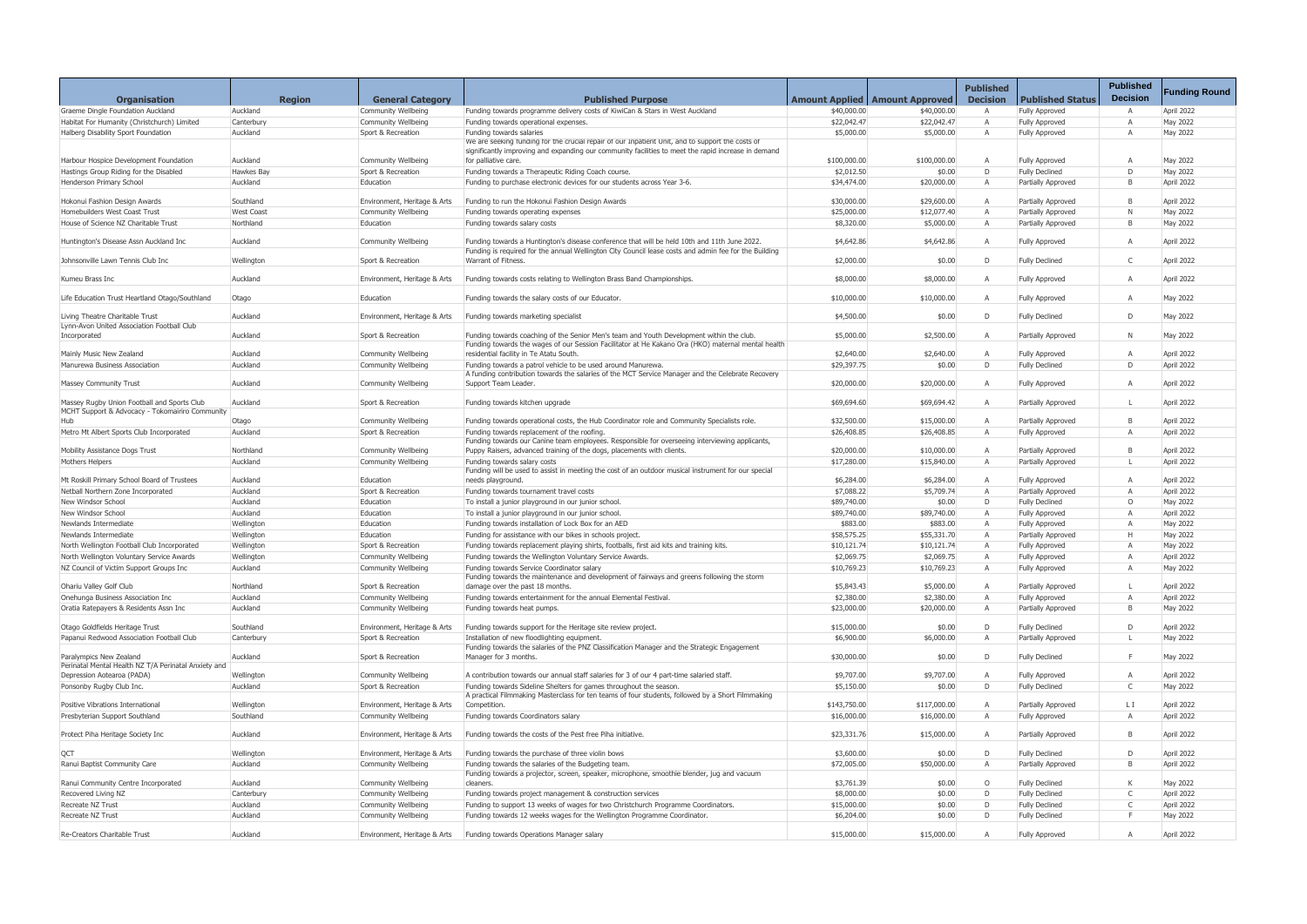|                                                                               |                        |                                            |                                                                                                                                                                                                         |                           |                                         | <b>Published</b> |                                                | <b>Published</b>  |                          |
|-------------------------------------------------------------------------------|------------------------|--------------------------------------------|---------------------------------------------------------------------------------------------------------------------------------------------------------------------------------------------------------|---------------------------|-----------------------------------------|------------------|------------------------------------------------|-------------------|--------------------------|
| <b>Organisation</b>                                                           | <b>Region</b>          | <b>General Category</b>                    | <b>Published Purpose</b>                                                                                                                                                                                |                           | <b>Amount Applied   Amount Approved</b> | <b>Decision</b>  | <b>Published Status</b>                        | <b>Decision</b>   | <b>Funding Round</b>     |
| Graeme Dingle Foundation Auckland                                             | Auckland               | Community Wellbeing                        | Funding towards programme delivery costs of KiwiCan & Stars in West Auckland                                                                                                                            | \$40,000.00               | \$40,000.00                             |                  | <b>Fully Approved</b>                          | $\overline{A}$    | April 2022               |
| Habitat For Humanity (Christchurch) Limited                                   | Canterbury             | Community Wellbeing                        | Funding towards operational expenses.                                                                                                                                                                   | \$22,042.47               | \$22,042.47                             | $\overline{A}$   | <b>Fully Approved</b>                          | $\overline{A}$    | May 2022                 |
| Halberg Disability Sport Foundation                                           | Auckland               | Sport & Recreation                         | Funding towards salaries                                                                                                                                                                                | \$5,000.00                | \$5,000.00                              | $\mathsf{A}$     | <b>Fully Approved</b>                          | $\overline{A}$    | May 2022                 |
|                                                                               |                        |                                            | We are seeking funding for the crucial repair of our Inpatient Unit, and to support the costs of<br>significantly improving and expanding our community facilities to meet the rapid increase in demand |                           |                                         |                  |                                                |                   |                          |
| Harbour Hospice Development Foundation                                        | Auckland               | Community Wellbeing                        | for palliative care.                                                                                                                                                                                    | \$100,000.00              | \$100,000.00                            | $\overline{A}$   | <b>Fully Approved</b>                          | A                 | May 2022                 |
| Hastings Group Riding for the Disabled                                        | Hawkes Bay             | Sport & Recreation                         | Funding towards a Therapeutic Riding Coach course.                                                                                                                                                      | \$2,012.50                | \$0.00                                  | D                | <b>Fully Declined</b>                          | D                 | May 2022                 |
| Henderson Primary School                                                      | Auckland               | Education                                  | Funding to purchase electronic devices for our students across Year 3-6.                                                                                                                                | \$34,474.00               | \$20,000.00                             | A                | Partially Approved                             | B                 | April 2022               |
| Hokonui Fashion Design Awards                                                 | Southland              | Environment, Heritage & Arts               | Funding to run the Hokonui Fashion Design Awards                                                                                                                                                        | \$30,000.00               | \$29,600.00                             | A                | Partially Approved                             | B                 | April 2022               |
| Homebuilders West Coast Trust                                                 | <b>West Coast</b>      | Community Wellbeing                        | Funding towards operating expenses                                                                                                                                                                      | \$25,000.00               | \$12,077.40                             | $\overline{A}$   | Partially Approved                             | N                 | May 2022                 |
| House of Science NZ Charitable Trust                                          | Northland              | Education                                  | Funding towards salary costs                                                                                                                                                                            | \$8,320.00                | \$5,000.00                              | $\overline{A}$   | Partially Approved                             | B                 | May 2022                 |
| Huntington's Disease Assn Auckland Inc                                        | Auckland               | Community Wellbeing                        | Funding towards a Huntington's disease conference that will be held 10th and 11th June 2022.<br>Funding is required for the annual Wellington City Council lease costs and admin fee for the Building   | \$4,642.86                | \$4,642.86                              | A                | <b>Fully Approved</b>                          | $\mathsf{A}$      | April 2022               |
| Johnsonville Lawn Tennis Club Inc                                             | Wellington             | Sport & Recreation                         | Warrant of Fitness.                                                                                                                                                                                     | \$2,000.00                | \$0.00                                  | D                | <b>Fully Declined</b>                          | $\mathsf{C}$      | April 2022               |
| Kumeu Brass Inc                                                               | Auckland               | Environment, Heritage & Arts               | Funding towards costs relating to Wellington Brass Band Championships.                                                                                                                                  | \$8,000.00                | \$8,000.00                              | A                | <b>Fully Approved</b>                          | $\overline{A}$    | April 2022               |
| Life Education Trust Heartland Otago/Southland                                | Otago                  | Education                                  | Funding towards the salary costs of our Educator.                                                                                                                                                       | \$10,000.00               | \$10,000.00                             | $\overline{A}$   | <b>Fully Approved</b>                          | $\overline{A}$    | May 2022                 |
| Living Theatre Charitable Trust<br>Lynn-Avon United Association Football Club | Auckland               | Environment, Heritage & Arts               | Funding towards marketing specialist                                                                                                                                                                    | \$4,500.00                | \$0.00                                  | D                | <b>Fully Declined</b>                          | D                 | May 2022                 |
| Incorporated                                                                  | Auckland               | Sport & Recreation                         | Funding towards coaching of the Senior Men's team and Youth Development within the club.<br>Funding towards the wages of our Session Facilitator at He Kakano Ora (HKO) maternal mental health          | \$5,000.00                | \$2,500.00                              | A                | Partially Approved                             | N                 | May 2022                 |
| Mainly Music New Zealand                                                      | Auckland               | Community Wellbeing                        | residential facility in Te Atatu South.                                                                                                                                                                 | \$2,640.00                | \$2,640.00                              | $\overline{A}$   | <b>Fully Approved</b>                          | $\overline{A}$    | April 2022               |
| Manurewa Business Association                                                 | Auckland               | Community Wellbeing                        | Funding towards a patrol vehicle to be used around Manurewa.                                                                                                                                            | \$29,397.75               | \$0.00                                  | D                | <b>Fully Declined</b>                          | D                 | April 2022               |
| <b>Massey Community Trust</b>                                                 | Auckland               | Community Wellbeing                        | A funding contribution towards the salaries of the MCT Service Manager and the Celebrate Recovery<br>Support Team Leader.                                                                               | \$20,000.00               | \$20,000.00                             | $\overline{A}$   | <b>Fully Approved</b>                          | $\overline{A}$    | April 2022               |
| Massey Rugby Union Football and Sports Club                                   | Auckland               | Sport & Recreation                         | Funding towards kitchen upgrade                                                                                                                                                                         | \$69,694.60               | \$69,694.42                             | $\overline{A}$   | Partially Approved                             | L.                | April 2022               |
| MCHT Support & Advocacy - Tokomairiro Community                               | Otago                  | Community Wellbeing                        | Funding towards operational costs, the Hub Coordinator role and Community Specialists role.                                                                                                             | \$32,500.00               | \$15,000.00                             | A                | Partially Approved                             | B                 | April 2022               |
| Metro Mt Albert Sports Club Incorporated                                      | Auckland               | Sport & Recreation                         | Funding towards replacement of the roofing.                                                                                                                                                             | \$26,408.85               | \$26,408.85                             | $\overline{A}$   | <b>Fully Approved</b>                          | $\overline{A}$    | April 2022               |
|                                                                               |                        |                                            | Funding towards our Canine team employees. Responsible for overseeing interviewing applicants,                                                                                                          |                           |                                         |                  |                                                |                   |                          |
| Mobility Assistance Dogs Trust                                                | Northland              | Community Wellbeing                        | Puppy Raisers, advanced training of the dogs, placements with clients.                                                                                                                                  | \$20,000.00               | \$10,000.00                             | $\overline{A}$   | Partially Approved                             | B                 | April 2022               |
| Mothers Helpers                                                               | Auckland               | Community Wellbeing                        | Funding towards salary costs<br>Funding will be used to assist in meeting the cost of an outdoor musical instrument for our special                                                                     | \$17,280.00               | \$15,840.00                             | $\overline{A}$   | <b>Partially Approved</b>                      | -L                | April 2022               |
| Mt Roskill Primary School Board of Trustees                                   | Auckland               | Education                                  | needs playground.                                                                                                                                                                                       | \$6,284.00                | \$6,284.00                              | A                | <b>Fully Approved</b>                          | $\overline{A}$    | April 2022               |
| Netball Northern Zone Incorporated                                            | Auckland               | Sport & Recreation                         | Funding towards tournament travel costs                                                                                                                                                                 | \$7,088.22                | \$5,709.74                              | $\overline{A}$   | Partially Approved                             | A                 | April 2022               |
| New Windsor School                                                            | Auckland               | Education                                  | To install a junior playground in our junior school.                                                                                                                                                    | \$89,740.00               | \$0.00                                  | D                | <b>Fully Declined</b>                          | $\circ$           | May 2022                 |
| New Windsor School                                                            | Auckland               | Education                                  | To install a junior playground in our junior school.                                                                                                                                                    | \$89,740.00               | \$89,740.00                             | $\overline{A}$   | <b>Fully Approved</b>                          | $\mathsf{A}$      | April 2022               |
| Newlands Intermediate                                                         | Wellington             | Education                                  | Funding towards installation of Lock Box for an AED                                                                                                                                                     | \$883.00                  | \$883.00                                | $\overline{A}$   | <b>Fully Approved</b>                          | A                 | May 2022                 |
| Newlands Intermediate                                                         | Wellington             | Education                                  | Funding for assistance with our bikes in schools project                                                                                                                                                | \$58,575.25               | \$55,331.70                             | $\overline{A}$   | Partially Approved                             | H                 | May 2022                 |
| North Wellington Football Club Incorporated                                   | Wellington             | Sport & Recreation                         | Funding towards replacement playing shirts, footballs, first aid kits and training kits.                                                                                                                | \$10,121.74               | \$10,121.74                             |                  | <b>Fully Approved</b>                          | $\overline{A}$    | May 2022                 |
| North Wellington Voluntary Service Awards                                     | Wellington             | Community Wellbeing                        | Funding towards the Wellington Voluntary Service Awards.                                                                                                                                                | \$2,069.75                | \$2,069.75                              | $\overline{A}$   | <b>Fully Approved</b>                          | A                 | April 2022               |
| NZ Council of Victim Support Groups Inc                                       | Auckland               | Community Wellbeing                        | Funding towards Service Coordinator salary<br>Funding towards the maintenance and development of fairways and greens following the storm                                                                | \$10,769.23               | \$10,769.23                             | A                | <b>Fully Approved</b>                          | A                 | May 2022                 |
| Ohariu Valley Golf Club                                                       | Northland              | Sport & Recreation                         | damage over the past 18 months.                                                                                                                                                                         | \$5,843.43                | \$5,000.00                              | A                | Partially Approved                             | L.                | April 2022               |
| Onehunga Business Association Inc                                             | Auckland               | Community Wellbeing                        | Funding towards entertainment for the annual Elemental Festival.                                                                                                                                        | \$2,380.00                | \$2,380.00                              | $\overline{A}$   | <b>Fully Approved</b>                          | $\mathsf{A}$      | April 2022               |
| Oratia Ratepayers & Residents Assn Inc                                        | Auckland               | Community Wellbeing                        | Funding towards heat pumps.                                                                                                                                                                             | \$23,000.00               | \$20,000.00                             | $\overline{A}$   | Partially Approved                             | B                 | May 2022                 |
| Otago Goldfields Heritage Trust                                               | Southland              | Environment, Heritage & Arts               | Funding towards support for the Heritage site review project.                                                                                                                                           | \$15,000.00               | \$0.00                                  | D                | <b>Fully Declined</b>                          | D                 | April 2022               |
| Papanui Redwood Association Football Club                                     | Canterbury             | Sport & Recreation                         | Installation of new floodlighting equipment.                                                                                                                                                            | \$6,900.00                | \$6,000.00                              |                  | Partially Approved                             | L.                | May 2022                 |
| Paralympics New Zealand                                                       | Auckland               | Sport & Recreation                         | Funding towards the salaries of the PNZ Classification Manager and the Strategic Engagement<br>Manager for 3 months.                                                                                    | \$30,000.00               | \$0.00                                  | D                | <b>Fully Declined</b>                          | F.                | May 2022                 |
| Perinatal Mental Health NZ T/A Perinatal Anxiety and                          |                        |                                            |                                                                                                                                                                                                         |                           |                                         |                  |                                                |                   |                          |
| Depression Aotearoa (PADA)<br>Ponsonby Rugby Club Inc.                        | Wellington<br>Auckland | Community Wellbeing<br>Sport & Recreation  | A contribution towards our annual staff salaries for 3 of our 4 part-time salaried staff.<br>Funding towards Sideline Shelters for games throughout the season.                                         | \$9,707.00<br>\$5,150.00  | \$9,707.00<br>\$0.00                    | A<br>D           | <b>Fully Approved</b><br><b>Fully Declined</b> | Α<br>$\mathsf{C}$ | April 2022<br>May 2022   |
| Positive Vibrations International                                             | Wellington             | Environment, Heritage & Arts               | A practical Filmmaking Masterclass for ten teams of four students, followed by a Short Filmmaking<br>Competition.                                                                                       | \$143,750.00              | \$117,000.00                            | $\overline{A}$   | Partially Approved                             | L I               | April 2022               |
| Presbyterian Support Southland                                                | Southland              | Community Wellbeing                        | Funding towards Coordinators salary                                                                                                                                                                     | \$16,000.00               | \$16,000.00                             | A                | <b>Fully Approved</b>                          | $\overline{A}$    | April 2022               |
|                                                                               |                        |                                            |                                                                                                                                                                                                         |                           |                                         |                  |                                                |                   |                          |
| Protect Piha Heritage Society Inc                                             | Auckland               | Environment, Heritage & Arts               | Funding towards the costs of the Pest free Piha initiative.                                                                                                                                             | \$23,331.76               | \$15,000.00                             | A                | Partially Approved                             | B                 | April 2022               |
| QCT                                                                           | Wellington             | Environment, Heritage & Arts               | Funding towards the purchase of three violin bows                                                                                                                                                       | \$3,600.00                | \$0.00                                  | D                | <b>Fully Declined</b>                          | D                 | April 2022               |
| Ranui Baptist Community Care                                                  | Auckland               | Community Wellbeing                        | Funding towards the salaries of the Budgeting team.                                                                                                                                                     | \$72,005.00               | \$50,000.00                             | $\overline{A}$   | Partially Approved                             | B                 | April 2022               |
|                                                                               |                        |                                            | Funding towards a projector, screen, speaker, microphone, smoothie blender, jug and vacuum                                                                                                              |                           |                                         |                  |                                                |                   |                          |
| Ranui Community Centre Incorporated                                           | Auckland               | Community Wellbeing                        | cleaners.                                                                                                                                                                                               | \$3,761.39                | \$0.00                                  | $\circ$          | <b>Fully Declined</b>                          | K                 | May 2022                 |
| Recovered Living NZ                                                           | Canterbury             | Community Wellbeing                        | Funding towards project management & construction services                                                                                                                                              | \$8,000.00                | \$0.00                                  | D<br>D           | <b>Fully Declined</b>                          | C<br>$\mathsf{C}$ | April 2022<br>April 2022 |
| Recreate NZ Trust<br>Recreate NZ Trust                                        | Auckland<br>Auckland   | Community Wellbeing<br>Community Wellbeing | Funding to support 13 weeks of wages for two Christchurch Programme Coordinators.<br>Funding towards 12 weeks wages for the Wellington Programme Coordinator.                                           | \$15,000.00<br>\$6,204.00 | \$0.00<br>\$0.00                        | D                | <b>Fully Declined</b><br><b>Fully Declined</b> | F                 | May 2022                 |
|                                                                               |                        |                                            |                                                                                                                                                                                                         |                           |                                         |                  |                                                |                   |                          |
| Re-Creators Charitable Trust                                                  | Auckland               | Environment, Heritage & Arts               | Funding towards Operations Manager salary                                                                                                                                                               | \$15,000.00               | \$15,000.00                             | A                | <b>Fully Approved</b>                          | $\overline{A}$    | April 2022               |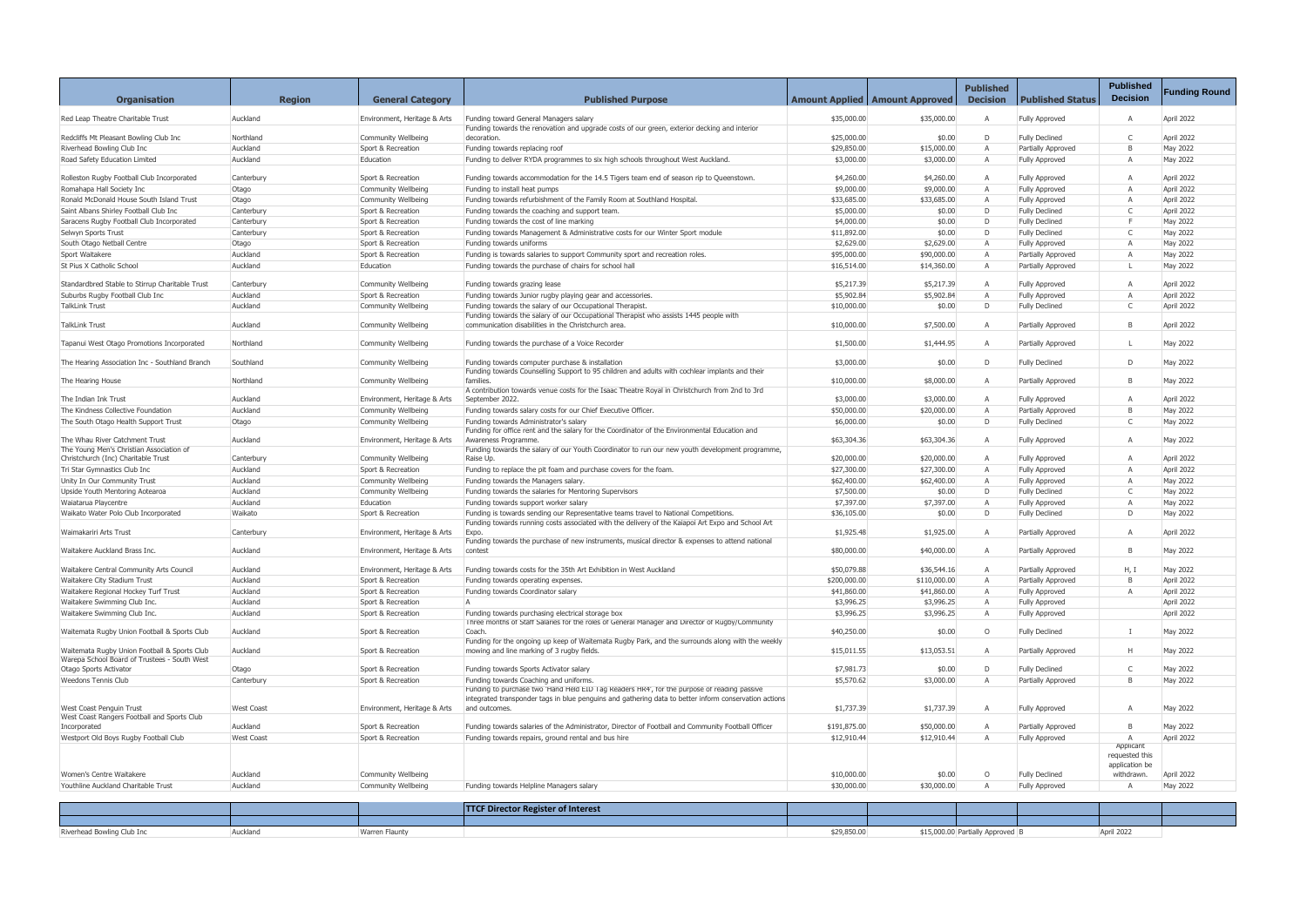| <b>Organisation</b>                                                    | <b>Region</b>     | <b>General Category</b>      | <b>Published Purpose</b>                                                                                                                       |              | <b>Amount Applied   Amount Approved</b> | <b>Published</b><br><b>Decision</b> | <b>Published Status</b>   | <b>Published</b><br><b>Decision</b> | <b>Funding Round</b> |
|------------------------------------------------------------------------|-------------------|------------------------------|------------------------------------------------------------------------------------------------------------------------------------------------|--------------|-----------------------------------------|-------------------------------------|---------------------------|-------------------------------------|----------------------|
| Red Leap Theatre Charitable Trust                                      | Auckland          | Environment, Heritage & Arts | Funding toward General Managers salary                                                                                                         | \$35,000.00  | \$35,000.00                             | A                                   | <b>Fully Approved</b>     | $\overline{A}$                      | April 2022           |
| Redcliffs Mt Pleasant Bowling Club Inc                                 | Northland         | Community Wellbeing          | Funding towards the renovation and upgrade costs of our green, exterior decking and interior<br>decoration.                                    | \$25,000.00  | \$0.00                                  | D                                   | <b>Fully Declined</b>     | $\mathsf{C}$                        | April 2022           |
| Riverhead Bowling Club Inc                                             | Auckland          | Sport & Recreation           | Funding towards replacing roof                                                                                                                 | \$29,850.00  | \$15,000.00                             | $\overline{A}$                      | Partially Approved        | B                                   | May 2022             |
| Road Safety Education Limited                                          | Auckland          | Education                    | Funding to deliver RYDA programmes to six high schools throughout West Auckland.                                                               | \$3,000.00   | \$3,000.00                              | A                                   | <b>Fully Approved</b>     | $\overline{A}$                      | May 2022             |
| Rolleston Rugby Football Club Incorporated                             | Canterbury        | Sport & Recreation           | Funding towards accommodation for the 14.5 Tigers team end of season rip to Queenstown.                                                        | \$4,260.00   | \$4,260.00                              | $\overline{A}$                      | <b>Fully Approved</b>     | $\overline{A}$                      | April 2022           |
| Romahapa Hall Society Inc                                              |                   | Community Wellbeing          | Funding to install heat pumps                                                                                                                  |              | \$9,000.00                              | $\overline{A}$                      | <b>Fully Approved</b>     | $\overline{A}$                      | April 2022           |
|                                                                        | Otago             |                              |                                                                                                                                                | \$9,000.00   |                                         | $\overline{A}$                      |                           |                                     |                      |
| Ronald McDonald House South Island Trust                               | Otago             | Community Wellbeing          | Funding towards refurbishment of the Family Room at Southland Hospital.                                                                        | \$33,685.00  | \$33,685.00                             | D                                   | <b>Fully Approved</b>     | $\mathsf{A}$<br>$\mathsf{C}$        | April 2022           |
| Saint Albans Shirley Football Club Inc                                 | Canterbury        | Sport & Recreation           | Funding towards the coaching and support team.                                                                                                 | \$5,000.00   | \$0.00                                  |                                     | <b>Fully Declined</b>     | E                                   | April 2022           |
| Saracens Rugby Football Club Incorporated                              | Canterbury        | Sport & Recreation           | Funding towards the cost of line marking                                                                                                       | \$4,000.00   | \$0.00                                  | D                                   | <b>Fully Declined</b>     |                                     | May 2022             |
| Selwyn Sports Trust                                                    | Canterbury        | Sport & Recreation           | Funding towards Management & Administrative costs for our Winter Sport module                                                                  | \$11,892.00  | \$0.00                                  | D                                   | <b>Fully Declined</b>     | $\mathsf{C}$                        | May 2022             |
| South Otago Netball Centre                                             | Otago             | Sport & Recreation           | Funding towards uniforms                                                                                                                       | \$2,629.00   | \$2,629.00                              | $\overline{A}$                      | <b>Fully Approved</b>     | $\overline{A}$                      | May 2022             |
| Sport Waitakere                                                        | Auckland          | Sport & Recreation           | Funding is towards salaries to support Community sport and recreation roles.                                                                   | \$95,000.00  | \$90,000.00                             | $\overline{A}$                      | Partially Approved        | A                                   | May 2022             |
| St Pius X Catholic School                                              | Auckland          | Education                    | Funding towards the purchase of chairs for school hall                                                                                         | \$16,514.00  | \$14,360.00                             | $\mathsf{A}$                        | <b>Partially Approved</b> | $\mathsf{L}$                        | May 2022             |
|                                                                        |                   |                              |                                                                                                                                                |              |                                         |                                     |                           |                                     |                      |
| Standardbred Stable to Stirrup Charitable Trust                        | Canterbury        | Community Wellbeing          | Funding towards grazing lease                                                                                                                  | \$5,217.39   | \$5,217.39                              | $\overline{A}$                      | <b>Fully Approved</b>     | $\overline{A}$                      | April 2022           |
| Suburbs Rugby Football Club Inc                                        | Auckland          | Sport & Recreation           | Funding towards Junior rugby playing gear and accessories.                                                                                     | \$5,902.84   | \$5,902.84                              | $\overline{A}$                      | <b>Fully Approved</b>     | $\mathsf{A}$                        | April 2022           |
| TalkLink Trust                                                         | Auckland          | Community Wellbeing          | Funding towards the salary of our Occupational Therapist.                                                                                      | \$10,000.00  | \$0.00                                  | D                                   | <b>Fully Declined</b>     | $\mathsf{C}$                        | April 2022           |
| <b>TalkLink Trust</b>                                                  | Auckland          |                              | Funding towards the salary of our Occupational Therapist who assists 1445 people with<br>communication disabilities in the Christchurch area.  |              | \$7,500.00                              | $\overline{A}$                      |                           | B                                   | April 2022           |
|                                                                        |                   | Community Wellbeing          |                                                                                                                                                | \$10,000.00  |                                         |                                     | <b>Partially Approved</b> |                                     |                      |
| Tapanui West Otago Promotions Incorporated                             | Northland         | Community Wellbeing          | Funding towards the purchase of a Voice Recorder                                                                                               | \$1,500.00   | \$1,444.95                              | $\overline{A}$                      | Partially Approved        | L.                                  | May 2022             |
| The Hearing Association Inc - Southland Branch                         | Southland         | Community Wellbeing          | Funding towards computer purchase & installation                                                                                               | \$3,000.00   | \$0.00                                  | D                                   | <b>Fully Declined</b>     | $\mathsf{D}$                        | May 2022             |
|                                                                        |                   |                              | Funding towards Counselling Support to 95 children and adults with cochlear implants and their                                                 |              |                                         |                                     |                           |                                     |                      |
| The Hearing House                                                      | Northland         | Community Wellbeing          | families.<br>A contribution towards venue costs for the Isaac Theatre Royal in Christchurch from 2nd to 3rd                                    | \$10,000.00  | \$8,000.00                              | A                                   | Partially Approved        | B                                   | May 2022             |
| The Indian Ink Trust                                                   | Auckland          | Environment, Heritage & Arts | September 2022.                                                                                                                                | \$3,000.00   | \$3,000.00                              | A                                   | <b>Fully Approved</b>     | Α                                   | April 2022           |
| The Kindness Collective Foundation                                     | Auckland          | Community Wellbeing          | Funding towards salary costs for our Chief Executive Officer.                                                                                  | \$50,000.00  | \$20,000.00                             | $\overline{A}$                      | Partially Approved        | B                                   | May 2022             |
| The South Otago Health Support Trust                                   | Otago             | Community Wellbeing          | Funding towards Administrator's salary                                                                                                         | \$6,000.00   | \$0.00                                  | D                                   | <b>Fully Declined</b>     | $\mathsf{C}$                        | May 2022             |
|                                                                        |                   |                              | Funding for office rent and the salary for the Coordinator of the Environmental Education and                                                  |              |                                         |                                     |                           |                                     |                      |
| The Whau River Catchment Trust                                         | Auckland          | Environment, Heritage & Arts | Awareness Programme.                                                                                                                           | \$63,304.36  | \$63,304.36                             | A                                   | <b>Fully Approved</b>     | $\mathsf{A}$                        | May 2022             |
| The Young Men's Christian Association of                               |                   |                              | Funding towards the salary of our Youth Coordinator to run our new youth development programme,                                                |              |                                         |                                     |                           |                                     |                      |
| Christchurch (Inc) Charitable Trust                                    | Canterbury        | Community Wellbeing          | Raise Up.                                                                                                                                      | \$20,000.00  | \$20,000.00                             | $\overline{A}$                      | <b>Fully Approved</b>     | Α                                   | April 2022           |
| Tri Star Gymnastics Club Inc                                           | Auckland          | Sport & Recreation           | Funding to replace the pit foam and purchase covers for the foam.                                                                              | \$27,300.00  | \$27,300.00                             | $\overline{A}$                      | Fully Approved            | $\mathsf{A}$                        | April 2022           |
| Unity In Our Community Trust                                           | Auckland          | Community Wellbeing          | Funding towards the Managers salary.                                                                                                           | \$62,400.00  | \$62,400.00                             | $\overline{A}$                      | <b>Fully Approved</b>     | $\overline{A}$                      | May 2022             |
| Upside Youth Mentoring Aotearoa                                        | Auckland          | Community Wellbeing          | Funding towards the salaries for Mentoring Supervisors                                                                                         | \$7,500.00   | \$0.00                                  | D                                   | <b>Fully Declined</b>     | C                                   | May 2022             |
| Waiatarua Playcentre                                                   | Auckland          | Education                    | Funding towards support worker salary                                                                                                          | \$7,397.00   | \$7,397.00                              | $\overline{A}$                      | <b>Fully Approved</b>     | $\overline{A}$                      | May 2022             |
| Waikato Water Polo Club Incorporated                                   | Waikato           | Sport & Recreation           | Funding is towards sending our Representative teams travel to National Competitions                                                            | \$36,105.00  | \$0.00                                  | D                                   | <b>Fully Declined</b>     | D                                   | May 2022             |
| Waimakariri Arts Trust                                                 | Canterbury        | Environment, Heritage & Arts | Funding towards running costs associated with the delivery of the Kaiapoi Art Expo and School Art<br>Expo.                                     | \$1,925.48   | \$1,925.00                              | A                                   | Partially Approved        | $\mathsf{A}$                        | April 2022           |
| Waitakere Auckland Brass Inc.                                          | Auckland          |                              | Funding towards the purchase of new instruments, musical director & expenses to attend national<br>contest                                     | \$80,000.00  | \$40,000.00                             | A                                   |                           | B                                   | May 2022             |
|                                                                        |                   | Environment, Heritage & Arts |                                                                                                                                                |              |                                         |                                     | Partially Approved        |                                     |                      |
| Waitakere Central Community Arts Council                               | Auckland          | Environment, Heritage & Arts | Funding towards costs for the 35th Art Exhibition in West Auckland                                                                             | \$50,079.88  | \$36,544.16                             |                                     | Partially Approved        | H, I                                | May 2022             |
| Waitakere City Stadium Trust                                           | Auckland          | Sport & Recreation           | Funding towards operating expenses.                                                                                                            | \$200,000.00 | \$110,000.00                            | $\overline{A}$                      | Partially Approved        | B                                   | April 2022           |
| Waitakere Regional Hockey Turf Trust                                   | Auckland          | Sport & Recreation           | Funding towards Coordinator salary                                                                                                             | \$41,860.00  | \$41,860.00                             | A                                   | <b>Fully Approved</b>     | $\mathsf{A}$                        | April 2022           |
| Waitakere Swimming Club Inc.                                           | Auckland          | Sport & Recreation           | $\Delta$                                                                                                                                       | \$3,996.25   | \$3,996.25                              | $\overline{A}$                      | <b>Fully Approved</b>     |                                     | April 2022           |
| Waitakere Swimming Club Inc.                                           | Auckland          | Sport & Recreation           | Funding towards purchasing electrical storage box                                                                                              | \$3,996.25   | \$3,996.25                              | A                                   | <b>Fully Approved</b>     |                                     | April 2022           |
|                                                                        |                   |                              | Three months of Staff Salaries for the roles of General Manager and Director of Rugby/Community                                                |              |                                         |                                     |                           |                                     |                      |
| Waitemata Rugby Union Football & Sports Club                           | Auckland          | Sport & Recreation           | Coach.                                                                                                                                         | \$40,250.00  | \$0.00                                  | $\circ$                             | <b>Fully Declined</b>     | $\mathbf{I}$                        | May 2022             |
| Waitemata Rugby Union Football & Sports Club                           | Auckland          | Sport & Recreation           | Funding for the ongoing up keep of Waitemata Rugby Park, and the surrounds along with the weekly<br>mowing and line marking of 3 rugby fields. | \$15,011.55  | \$13,053.51                             | A                                   | Partially Approved        | H                                   | May 2022             |
| Warepa School Board of Trustees - South West<br>Otago Sports Activator | Otago             | Sport & Recreation           | Funding towards Sports Activator salary                                                                                                        | \$7,981.73   | \$0.00                                  | D                                   | <b>Fully Declined</b>     | $\mathsf{C}$                        | May 2022             |
| Weedons Tennis Club                                                    | Canterbury        | Sport & Recreation           | Funding towards Coaching and uniforms.                                                                                                         | \$5,570.62   | \$3,000.00                              | Α                                   | Partially Approved        | B                                   | May 2022             |
|                                                                        |                   |                              | Funding to purchase two 'Hand Held EID Tag Readers HR4', for the purpose of reading passive                                                    |              |                                         |                                     |                           |                                     |                      |
|                                                                        |                   |                              | integrated transponder tags in blue penguins and gathering data to better inform conservation actions                                          |              |                                         |                                     |                           |                                     |                      |
| West Coast Penguin Trust                                               | <b>West Coast</b> | Environment, Heritage & Arts | and outcomes.                                                                                                                                  | \$1,737.39   | \$1,737.39                              | A                                   | <b>Fully Approved</b>     | A                                   | May 2022             |
| West Coast Rangers Football and Sports Club<br>Incorporated            | Auckland          | Sport & Recreation           | Funding towards salaries of the Administrator, Director of Football and Community Football Officer                                             | \$191,875.00 | \$50,000.00                             | A                                   | Partially Approved        | B                                   | May 2022             |
| Westport Old Boys Rugby Football Club                                  | <b>West Coast</b> | Sport & Recreation           | Funding towards repairs, ground rental and bus hire                                                                                            | \$12,910.44  | \$12,910.44                             | $\overline{A}$                      | <b>Fully Approved</b>     | $\overline{A}$                      | April 2022           |
|                                                                        |                   |                              |                                                                                                                                                |              |                                         |                                     |                           | Applicant                           |                      |
|                                                                        |                   |                              |                                                                                                                                                |              |                                         |                                     |                           | requested this                      |                      |
|                                                                        |                   |                              |                                                                                                                                                |              |                                         |                                     |                           | application be                      |                      |
| Women's Centre Waitakere                                               | Auckland          | Community Wellbeing          |                                                                                                                                                | \$10,000.00  | \$0.00                                  | $\circ$                             | <b>Fully Declined</b>     | withdrawn.                          | April 2022           |
| Youthline Auckland Charitable Trust                                    | Auckland          | Community Wellbeing          | Funding towards Helpline Managers salary                                                                                                       | \$30,000.00  | \$30,000.00                             | $\overline{A}$                      | Fully Approved            | A                                   | May 2022             |
|                                                                        |                   |                              |                                                                                                                                                |              |                                         |                                     |                           |                                     |                      |
|                                                                        |                   |                              | $\tau$                                                                                                                                         |              |                                         |                                     |                           |                                     |                      |

|          |                | <b>TTCF Director Register of Interest</b> |             |                                |            |  |
|----------|----------------|-------------------------------------------|-------------|--------------------------------|------------|--|
|          |                |                                           |             |                                |            |  |
| Auckland | Warren Flaunty |                                           | \$29,850.∪ა | \$15,000.00 Partially Approved | April 2022 |  |